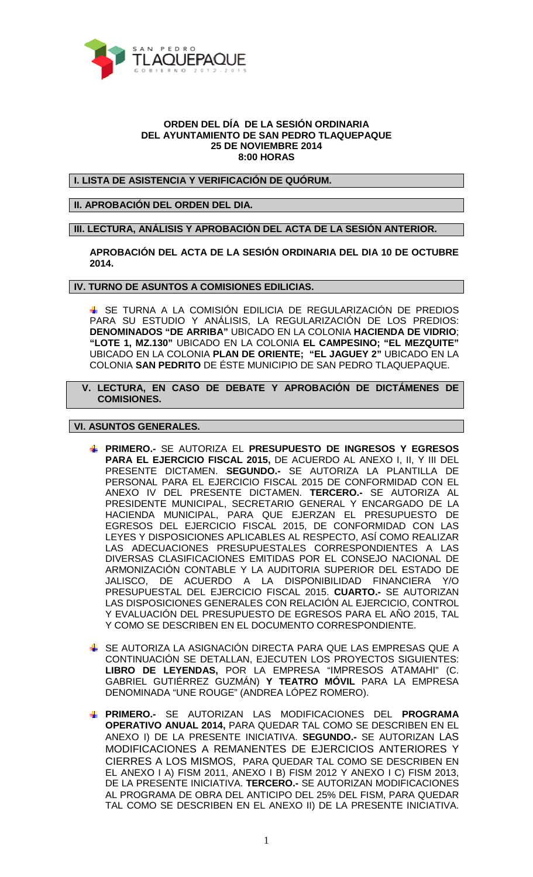

## **ORDEN DEL DÍA DE LA SESIÓN ORDINARIA DEL AYUNTAMIENTO DE SAN PEDRO TLAQUEPAQUE 25 DE NOVIEMBRE 2014 8:00 HORAS**

## **I. LISTA DE ASISTENCIA Y VERIFICACIÓN DE QUÓRUM.**

## **II. APROBACIÓN DEL ORDEN DEL DIA.**

**III. LECTURA, ANÁLISIS Y APROBACIÓN DEL ACTA DE LA SESIÓN ANTERIOR.** 

**APROBACIÓN DEL ACTA DE LA SESIÓN ORDINARIA DEL DIA 10 DE OCTUBRE 2014.** 

**IV. TURNO DE ASUNTOS A COMISIONES EDILICIAS.** 

 SE TURNA A LA COMISIÓN EDILICIA DE REGULARIZACIÓN DE PREDIOS PARA SU ESTUDIO Y ANÁLISIS, LA REGULARIZACIÓN DE LOS PREDIOS: **DENOMINADOS "DE ARRIBA"** UBICADO EN LA COLONIA **HACIENDA DE VIDRIO**; **"LOTE 1, MZ.130"** UBICADO EN LA COLONIA **EL CAMPESINO; "EL MEZQUITE"**  UBICADO EN LA COLONIA **PLAN DE ORIENTE; "EL JAGUEY 2"** UBICADO EN LA COLONIA **SAN PEDRITO** DE ÉSTE MUNICIPIO DE SAN PEDRO TLAQUEPAQUE.

 **V. LECTURA, EN CASO DE DEBATE Y APROBACIÓN DE DICTÁMENES DE COMISIONES.** 

## **VI. ASUNTOS GENERALES.**

- **PRIMERO.-** SE AUTORIZA EL **PRESUPUESTO DE INGRESOS Y EGRESOS PARA EL EJERCICIO FISCAL 2015,** DE ACUERDO AL ANEXO I, II, Y III DEL PRESENTE DICTAMEN. **SEGUNDO.-** SE AUTORIZA LA PLANTILLA DE PERSONAL PARA EL EJERCICIO FISCAL 2015 DE CONFORMIDAD CON EL ANEXO IV DEL PRESENTE DICTAMEN. **TERCERO.-** SE AUTORIZA AL PRESIDENTE MUNICIPAL, SECRETARIO GENERAL Y ENCARGADO DE LA HACIENDA MUNICIPAL, PARA QUE EJERZAN EL PRESUPUESTO DE EGRESOS DEL EJERCICIO FISCAL 2015, DE CONFORMIDAD CON LAS LEYES Y DISPOSICIONES APLICABLES AL RESPECTO, ASÍ COMO REALIZAR LAS ADECUACIONES PRESUPUESTALES CORRESPONDIENTES A LAS DIVERSAS CLASIFICACIONES EMITIDAS POR EL CONSEJO NACIONAL DE ARMONIZACIÓN CONTABLE Y LA AUDITORIA SUPERIOR DEL ESTADO DE JALISCO, DE ACUERDO A LA DISPONIBILIDAD FINANCIERA Y/O PRESUPUESTAL DEL EJERCICIO FISCAL 2015. **CUARTO.-** SE AUTORIZAN LAS DISPOSICIONES GENERALES CON RELACIÓN AL EJERCICIO, CONTROL Y EVALUACIÓN DEL PRESUPUESTO DE EGRESOS PARA EL AÑO 2015, TAL Y COMO SE DESCRIBEN EN EL DOCUMENTO CORRESPONDIENTE.
- SE AUTORIZA LA ASIGNACIÓN DIRECTA PARA QUE LAS EMPRESAS QUE A CONTINUACIÓN SE DETALLAN, EJECUTEN LOS PROYECTOS SIGUIENTES: **LIBRO DE LEYENDAS,** POR LA EMPRESA "IMPRESOS ATAMAHI" (C. GABRIEL GUTIÉRREZ GUZMÁN) **Y TEATRO MÓVIL** PARA LA EMPRESA DENOMINADA "UNE ROUGE" (ANDREA LÓPEZ ROMERO).
- **PRIMERO.-** SE AUTORIZAN LAS MODIFICACIONES DEL **PROGRAMA OPERATIVO ANUAL 2014,** PARA QUEDAR TAL COMO SE DESCRIBEN EN EL ANEXO I) DE LA PRESENTE INICIATIVA. **SEGUNDO.-** SE AUTORIZAN LAS MODIFICACIONES A REMANENTES DE EJERCICIOS ANTERIORES Y CIERRES A LOS MISMOS, PARA QUEDAR TAL COMO SE DESCRIBEN EN EL ANEXO I A) FISM 2011, ANEXO I B) FISM 2012 Y ANEXO I C) FISM 2013, DE LA PRESENTE INICIATIVA. **TERCERO.-** SE AUTORIZAN MODIFICACIONES AL PROGRAMA DE OBRA DEL ANTICIPO DEL 25% DEL FISM, PARA QUEDAR TAL COMO SE DESCRIBEN EN EL ANEXO II) DE LA PRESENTE INICIATIVA.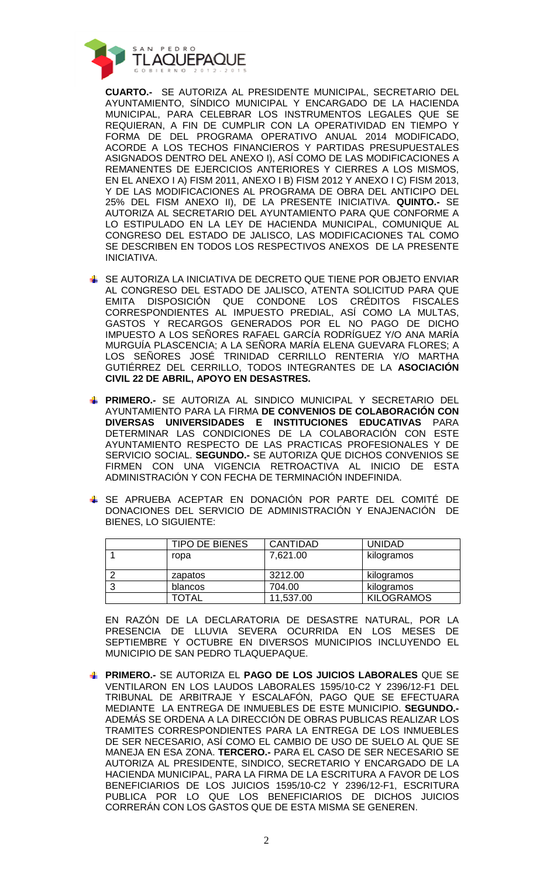

**CUARTO.-** SE AUTORIZA AL PRESIDENTE MUNICIPAL, SECRETARIO DEL AYUNTAMIENTO, SÍNDICO MUNICIPAL Y ENCARGADO DE LA HACIENDA MUNICIPAL, PARA CELEBRAR LOS INSTRUMENTOS LEGALES QUE SE REQUIERAN, A FIN DE CUMPLIR CON LA OPERATIVIDAD EN TIEMPO Y FORMA DE DEL PROGRAMA OPERATIVO ANUAL 2014 MODIFICADO, ACORDE A LOS TECHOS FINANCIEROS Y PARTIDAS PRESUPUESTALES ASIGNADOS DENTRO DEL ANEXO I), ASÍ COMO DE LAS MODIFICACIONES A REMANENTES DE EJERCICIOS ANTERIORES Y CIERRES A LOS MISMOS, EN EL ANEXO I A) FISM 2011, ANEXO I B) FISM 2012 Y ANEXO I C) FISM 2013, Y DE LAS MODIFICACIONES AL PROGRAMA DE OBRA DEL ANTICIPO DEL 25% DEL FISM ANEXO II), DE LA PRESENTE INICIATIVA. **QUINTO.-** SE AUTORIZA AL SECRETARIO DEL AYUNTAMIENTO PARA QUE CONFORME A LO ESTIPULADO EN LA LEY DE HACIENDA MUNICIPAL, COMUNIQUE AL CONGRESO DEL ESTADO DE JALISCO, LAS MODIFICACIONES TAL COMO SE DESCRIBEN EN TODOS LOS RESPECTIVOS ANEXOS DE LA PRESENTE INICIATIVA.

- ↓ SE AUTORIZA LA INICIATIVA DE DECRETO QUE TIENE POR OBJETO ENVIAR AL CONGRESO DEL ESTADO DE JALISCO, ATENTA SOLICITUD PARA QUE EMITA DISPOSICIÓN QUE CONDONE LOS CRÉDITOS FISCALES CORRESPONDIENTES AL IMPUESTO PREDIAL, ASÍ COMO LA MULTAS, GASTOS Y RECARGOS GENERADOS POR EL NO PAGO DE DICHO IMPUESTO A LOS SEÑORES RAFAEL GARCÍA RODRÍGUEZ Y/O ANA MARÍA MURGUÍA PLASCENCIA; A LA SEÑORA MARÍA ELENA GUEVARA FLORES; A LOS SEÑORES JOSÉ TRINIDAD CERRILLO RENTERIA Y/O MARTHA GUTIÉRREZ DEL CERRILLO, TODOS INTEGRANTES DE LA **ASOCIACIÓN CIVIL 22 DE ABRIL, APOYO EN DESASTRES.**
- **PRIMERO.-** SE AUTORIZA AL SINDICO MUNICIPAL Y SECRETARIO DEL AYUNTAMIENTO PARA LA FIRMA **DE CONVENIOS DE COLABORACIÓN CON DIVERSAS UNIVERSIDADES E INSTITUCIONES EDUCATIVAS** PARA DETERMINAR LAS CONDICIONES DE LA COLABORACIÓN CON ESTE AYUNTAMIENTO RESPECTO DE LAS PRACTICAS PROFESIONALES Y DE SERVICIO SOCIAL. **SEGUNDO.-** SE AUTORIZA QUE DICHOS CONVENIOS SE FIRMEN CON UNA VIGENCIA RETROACTIVA AL INICIO DE ESTA ADMINISTRACIÓN Y CON FECHA DE TERMINACIÓN INDEFINIDA.
- SE APRUEBA ACEPTAR EN DONACIÓN POR PARTE DEL COMITÉ DE DONACIONES DEL SERVICIO DE ADMINISTRACIÓN Y ENAJENACIÓN DE BIENES, LO SIGUIENTE:

| <b>TIPO DE BIENES</b> | <b>CANTIDAD</b> | <b>UNIDAD</b>     |
|-----------------------|-----------------|-------------------|
| ropa                  | 7,621.00        | kilogramos        |
| zapatos               | 3212.00         | kilogramos        |
| blancos               | 704.00          | kilogramos        |
| TOTAL                 | 11,537.00       | <b>KILOGRAMOS</b> |

EN RAZÓN DE LA DECLARATORIA DE DESASTRE NATURAL, POR LA PRESENCIA DE LLUVIA SEVERA OCURRIDA EN LOS MESES DE SEPTIEMBRE Y OCTUBRE EN DIVERSOS MUNICIPIOS INCLUYENDO EL MUNICIPIO DE SAN PEDRO TLAQUEPAQUE.

**PRIMERO.-** SE AUTORIZA EL **PAGO DE LOS JUICIOS LABORALES** QUE SE VENTILARON EN LOS LAUDOS LABORALES 1595/10-C2 Y 2396/12-F1 DEL TRIBUNAL DE ARBITRAJE Y ESCALAFÓN, PAGO QUE SE EFECTUARA MEDIANTE LA ENTREGA DE INMUEBLES DE ESTE MUNICIPIO. **SEGUNDO.-** ADEMÁS SE ORDENA A LA DIRECCIÓN DE OBRAS PUBLICAS REALIZAR LOS TRAMITES CORRESPONDIENTES PARA LA ENTREGA DE LOS INMUEBLES DE SER NECESARIO, ASÍ COMO EL CAMBIO DE USO DE SUELO AL QUE SE MANEJA EN ESA ZONA. **TERCERO.-** PARA EL CASO DE SER NECESARIO SE AUTORIZA AL PRESIDENTE, SINDICO, SECRETARIO Y ENCARGADO DE LA HACIENDA MUNICIPAL, PARA LA FIRMA DE LA ESCRITURA A FAVOR DE LOS BENEFICIARIOS DE LOS JUICIOS 1595/10-C2 Y 2396/12-F1, ESCRITURA PUBLICA POR LO QUE LOS BENEFICIARIOS DE DICHOS JUICIOS CORRERÁN CON LOS GASTOS QUE DE ESTA MISMA SE GENEREN.